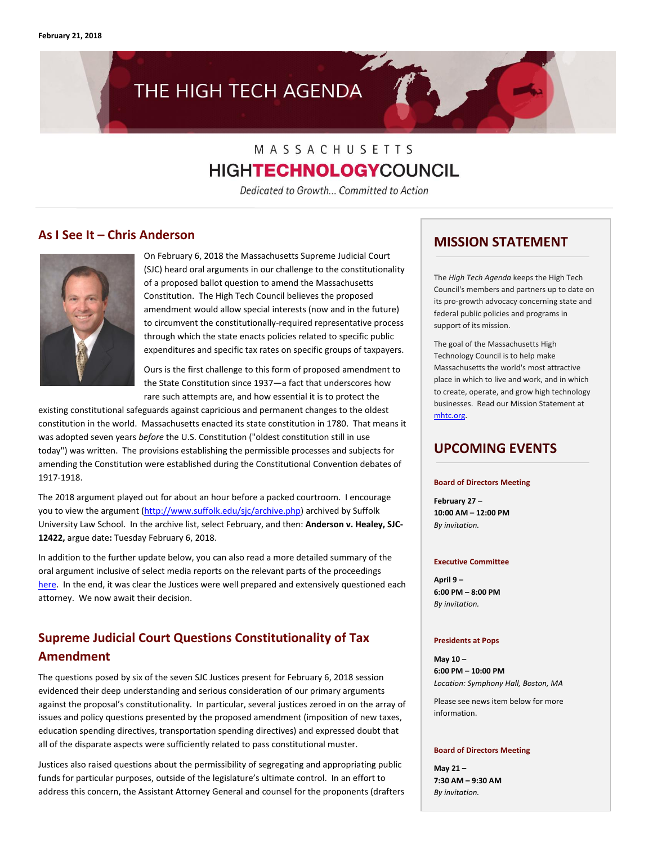# THE HIGH TECH AGENDA

# MASSACHUSETTS **HIGHTECHNOLOGY**COUNCIL

Dedicated to Growth... Committed to Action

### **As I See It – Chris Anderson**



On February 6, 2018 the Massachusetts Supreme Judicial Court (SJC) heard oral arguments in our challenge to the constitutionality of a proposed ballot question to amend the Massachusetts Constitution. The High Tech Council believes the proposed amendment would allow special interests (now and in the future) to circumvent the constitutionally-required representative process through which the state enacts policies related to specific public expenditures and specific tax rates on specific groups of taxpayers.

Ours is the first challenge to this form of proposed amendment to the State Constitution since 1937—a fact that underscores how rare such attempts are, and how essential it is to protect the

existing constitutional safeguards against capricious and permanent changes to the oldest constitution in the world. Massachusetts enacted its state constitution in 1780. That means it was adopted seven years *before* the U.S. Constitution ("oldest constitution still in use today") was written. The provisions establishing the permissible processes and subjects for amending the Constitution were established during the Constitutional Convention debates of 1917-1918.

The 2018 argument played out for about an hour before a packed courtroom. I encourage you to view the argument [\(http://www.suffolk.edu/sjc/archive.php\)](http://www.suffolk.edu/sjc/archive.php) archived by Suffolk University Law School. In the archive list, select February, and then: **Anderson v. Healey, SJC-12422,** argue date**:** Tuesday February 6, 2018.

In addition to the further update below, you can also read a more detailed summary of the oral argument inclusive of select media reports on the relevant parts of the proceedings [here.](http://www.mhtc.org/wp-content/uploads/2018/02/MHTC_LitigationSummary_CRA02162018.pdf) In the end, it was clear the Justices were well prepared and extensively questioned each attorney. We now await their decision.

## **Supreme Judicial Court Questions Constitutionality of Tax Amendment**

The questions posed by six of the seven SJC Justices present for February 6, 2018 session evidenced their deep understanding and serious consideration of our primary arguments against the proposal's constitutionality. In particular, several justices zeroed in on the array of issues and policy questions presented by the proposed amendment (imposition of new taxes, education spending directives, transportation spending directives) and expressed doubt that all of the disparate aspects were sufficiently related to pass constitutional muster.

Justices also raised questions about the permissibility of segregating and appropriating public funds for particular purposes, outside of the legislature's ultimate control. In an effort to address this concern, the Assistant Attorney General and counsel for the proponents (drafters

### **MISSION STATEMENT**

The *High Tech Agenda* keeps the High Tech Council's members and partners up to date on its pro-growth advocacy concerning state and federal public policies and programs in support of its mission.

The goal of the Massachusetts High Technology Council is to help make Massachusetts the world's most attractive place in which to live and work, and in which to create, operate, and grow high technology businesses. Read our Mission Statement at [mhtc.org.](http://www.mhtc.org/) 

### **UPCOMING EVENTS**

#### **Board of Directors Meeting**

**February 27 – 10:00 AM – 12:00 PM** *By invitation.*

#### **Executive Committee**

**April 9 – 6:00 PM – 8:00 PM** *By invitation.*

#### **Presidents at Pops**

**May 10 – 6:00 PM – 10:00 PM** *Location: Symphony Hall, Boston, MA*

Please see news item below for more information.

#### **Board of Directors Meeting**

**May 21 – 7:30 AM – 9:30 AM** *By invitation.*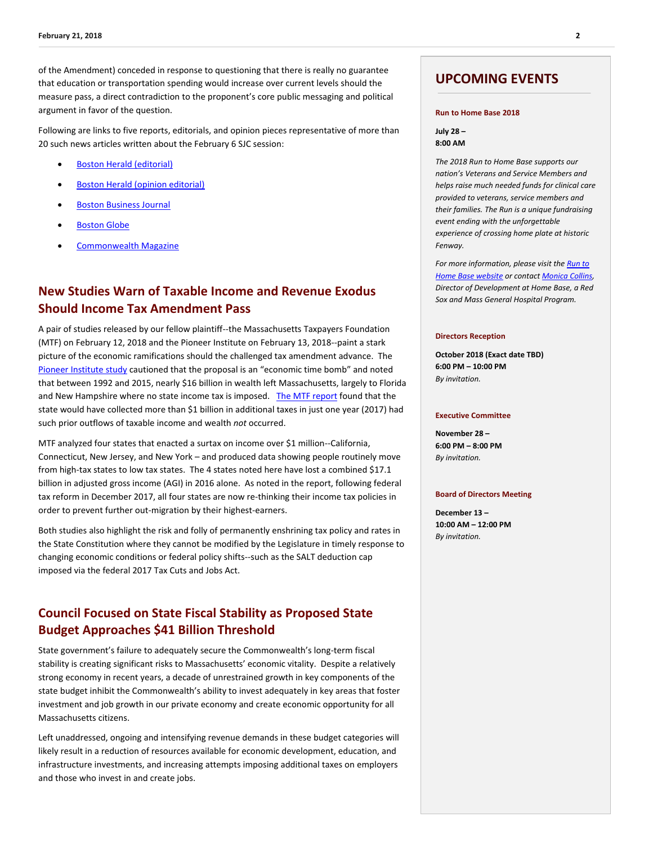of the Amendment) conceded in response to questioning that there is really no guarantee that education or transportation spending would increase over current levels should the measure pass, a direct contradiction to the proponent's core public messaging and political argument in favor of the question.

Following are links to five reports, editorials, and opinion pieces representative of more than 20 such news articles written about the February 6 SJC session:

- [Boston Herald \(editorial\)](http://www.mhtc.org/wp-content/uploads/2018/02/BostonHerald_Editorial_DefiningRelatedMillionDollarQuestion_02072018.pdf)
- [Boston Herald \(opinion editorial\)](http://www.mhtc.org/wp-content/uploads/2018/02/BostonHerald_Op-Ed_Weld_TaxandSpendPlanUnconstitutional_01222018.pdf)
- [Boston Business Journal](http://www.mhtc.org/wp-content/uploads/2018/02/BBJ_SJCJusticesQuestionDesignofMillionairesTaxProposal_02062018.pdf)
- [Boston Globe](http://www.mhtc.org/wp-content/uploads/2018/02/BostonGlobe_JudgesScrutinizeIncomeTaxSurcharge_Chesto_02062018.pdf)
- [Commonwealth Magazine](http://www.mhtc.org/wp-content/uploads/2018/02/Commomwealth_MillionaireTaxWrongWaytoPlayRobinHood_Murphy02042018.pdf)

### **New Studies Warn of Taxable Income and Revenue Exodus Should Income Tax Amendment Pass**

A pair of studies released by our fellow plaintiff--the Massachusetts Taxpayers Foundation (MTF) on February 12, 2018 and the Pioneer Institute on February 13, 2018--paint a stark picture of the economic ramifications should the challenged tax amendment advance. The [Pioneer Institute study](https://pioneerinstitute.org/economic_opportunity/study-finds-new-federal-tax-law-exacerbate-economic-damage-proposition-80/) cautioned that the proposal is an "economic time bomb" and noted that between 1992 and 2015, nearly \$16 billion in wealth left Massachusetts, largely to Florida and New Hampshire where no state income tax is imposed. [The MTF report](https://www.masstaxpayers.org/sites/masstaxpayers.org/files/On%20Tax%20Policy%20and%20Migration.pdf) found that the state would have collected more than \$1 billion in additional taxes in just one year (2017) had such prior outflows of taxable income and wealth *not* occurred.

MTF analyzed four states that enacted a surtax on income over \$1 million--California, Connecticut, New Jersey, and New York – and produced data showing people routinely move from high-tax states to low tax states. The 4 states noted here have lost a combined \$17.1 billion in adjusted gross income (AGI) in 2016 alone. As noted in the report, following federal tax reform in December 2017, all four states are now re-thinking their income tax policies in order to prevent further out-migration by their highest-earners.

Both studies also highlight the risk and folly of permanently enshrining tax policy and rates in the State Constitution where they cannot be modified by the Legislature in timely response to changing economic conditions or federal policy shifts--such as the SALT deduction cap imposed via the federal 2017 Tax Cuts and Jobs Act.

### **Council Focused on State Fiscal Stability as Proposed State Budget Approaches \$41 Billion Threshold**

State government's failure to adequately secure the Commonwealth's long-term fiscal stability is creating significant risks to Massachusetts' economic vitality. Despite a relatively strong economy in recent years, a decade of unrestrained growth in key components of the state budget inhibit the Commonwealth's ability to invest adequately in key areas that foster investment and job growth in our private economy and create economic opportunity for all Massachusetts citizens.

Left unaddressed, ongoing and intensifying revenue demands in these budget categories will likely result in a reduction of resources available for economic development, education, and infrastructure investments, and increasing attempts imposing additional taxes on employers and those who invest in and create jobs.

### **UPCOMING EVENTS**

#### **Run to Home Base 2018**

**July 28 – 8:00 AM**

*The 2018 Run to Home Base supports our nation's Veterans and Service Members and helps raise much needed funds for clinical care provided to veterans, service members and their families. The Run is a unique fundraising event ending with the unforgettable experience of crossing home plate at historic Fenway.* 

*For more information, please visit th[e Run to](http://www.runtohomebase.org/)  [Home Base website](http://www.runtohomebase.org/) or contac[t Monica Collins,](http://mail%20to:mmcollins2@partners.org/)  Director of Development at Home Base, a Red Sox and Mass General Hospital Program.*

#### **Directors Reception**

**October 2018 (Exact date TBD) 6:00 PM – 10:00 PM** *By invitation.*

#### **Executive Committee**

**November 28 – 6:00 PM – 8:00 PM** *By invitation.*

#### **Board of Directors Meeting**

**December 13 – 10:00 AM – 12:00 PM** *By invitation.*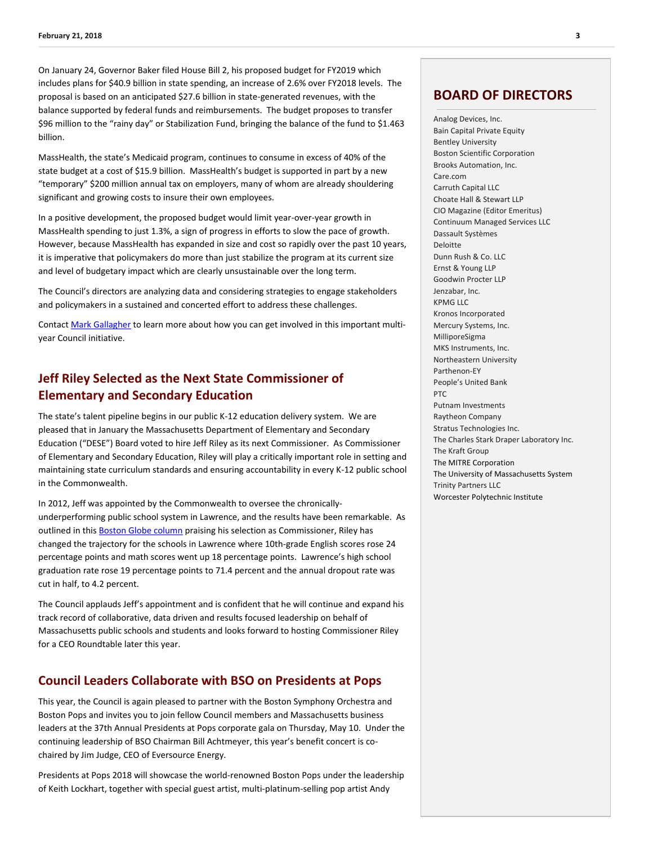On January 24, Governor Baker filed House Bill 2, his proposed budget for FY2019 which includes plans for \$40.9 billion in state spending, an increase of 2.6% over FY2018 levels. The proposal is based on an anticipated \$27.6 billion in state-generated revenues, with the balance supported by federal funds and reimbursements. The budget proposes to transfer \$96 million to the "rainy day" or Stabilization Fund, bringing the balance of the fund to \$1.463 billion.

MassHealth, the state's Medicaid program, continues to consume in excess of 40% of the state budget at a cost of \$15.9 billion. MassHealth's budget is supported in part by a new "temporary" \$200 million annual tax on employers, many of whom are already shouldering significant and growing costs to insure their own employees.

In a positive development, the proposed budget would limit year-over-year growth in MassHealth spending to just 1.3%, a sign of progress in efforts to slow the pace of growth. However, because MassHealth has expanded in size and cost so rapidly over the past 10 years, it is imperative that policymakers do more than just stabilize the program at its current size and level of budgetary impact which are clearly unsustainable over the long term.

The Council's directors are analyzing data and considering strategies to engage stakeholders and policymakers in a sustained and concerted effort to address these challenges.

Contac[t Mark Gallagher](mailto:mark@mhtc.org) to learn more about how you can get involved in this important multiyear Council initiative.

### **Jeff Riley Selected as the Next State Commissioner of Elementary and Secondary Education**

The state's talent pipeline begins in our public K-12 education delivery system. We are pleased that in January the Massachusetts Department of Elementary and Secondary Education ("DESE") Board voted to hire Jeff Riley as its next Commissioner. As Commissioner of Elementary and Secondary Education, Riley will play a critically important role in setting and maintaining state curriculum standards and ensuring accountability in every K-12 public school in the Commonwealth.

In 2012, Jeff was appointed by the Commonwealth to oversee the chronicallyunderperforming public school system in Lawrence, and the results have been remarkable. As outlined in this **Boston Globe column** praising his selection as Commissioner, Riley has changed the trajectory for the schools in Lawrence where 10th-grade English scores rose 24 percentage points and math scores went up 18 percentage points. Lawrence's high school graduation rate rose 19 percentage points to 71.4 percent and the annual dropout rate was cut in half, to 4.2 percent.

The Council applauds Jeff's appointment and is confident that he will continue and expand his track record of collaborative, data driven and results focused leadership on behalf of Massachusetts public schools and students and looks forward to hosting Commissioner Riley for a CEO Roundtable later this year.

#### **Council Leaders Collaborate with BSO on Presidents at Pops**

This year, the Council is again pleased to partner with the Boston Symphony Orchestra and Boston Pops and invites you to join fellow Council members and Massachusetts business leaders at the 37th Annual Presidents at Pops corporate gala on Thursday, May 10. Under the continuing leadership of BSO Chairman Bill Achtmeyer, this year's benefit concert is cochaired by Jim Judge, CEO of Eversource Energy.

Presidents at Pops 2018 will showcase the world-renowned Boston Pops under the leadership of Keith Lockhart, together with special guest artist, multi-platinum-selling pop artist Andy

#### **BOARD OF DIRECTORS**

Analog Devices, Inc. Bain Capital Private Equity Bentley University Boston Scientific Corporation Brooks Automation, Inc. Care.com Carruth Capital LLC Choate Hall & Stewart LLP CIO Magazine (Editor Emeritus) Continuum Managed Services LLC Dassault Systèmes Deloitte Dunn Rush & Co. LLC Ernst & Young LLP Goodwin Procter LLP Jenzabar, Inc. KPMG LLC Kronos Incorporated Mercury Systems, Inc. MilliporeSigma MKS Instruments, Inc. Northeastern University Parthenon-EY People's United Bank PTC Putnam Investments Raytheon Company Stratus Technologies Inc. The Charles Stark Draper Laboratory Inc. The Kraft Group The MITRE Corporation The University of Massachusetts System Trinity Partners LLC Worcester Polytechnic Institute